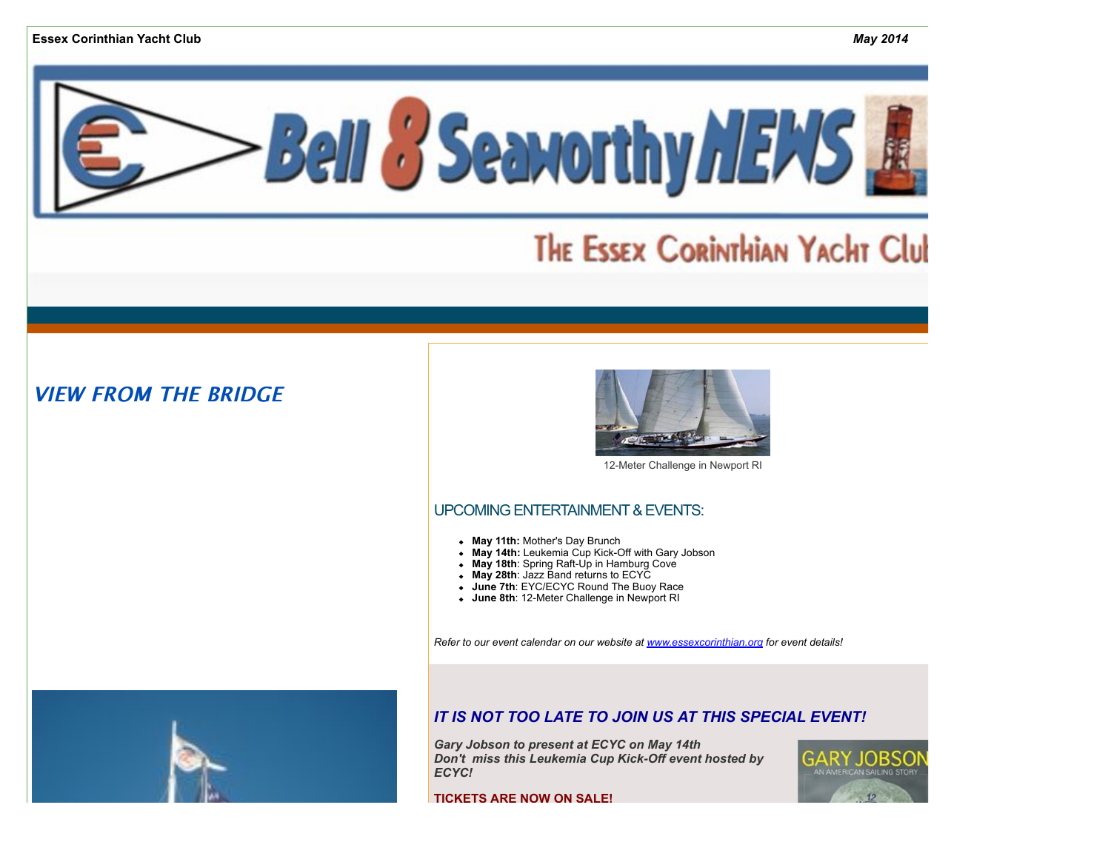

# **THE ESSEX CORINTHIAN YACHT Club**

# **VIEW FROM THE BRIDGE**



12-Meter Challenge in Newport RI

## UPCOMING ENTERTAINMENT & EVENTS:

- **May 11th:** Mother's Day Brunch
- May 14th: Leukemia Cup Kick-Off with Gary Jobson
- **May 18th**: Spring Raft-Up in Hamburg Cove
- **May 28th**: Jazz Band returns to ECYC
- **June 7th**: EYC/ECYC Round The Buoy Race
- **June 8th**: 12-Meter Challenge in Newport RI

*Refer to our event calendar on our website at [www.essexcorinthian.org](http://r20.rs6.net/tn.jsp?e=001emzWmt_IhciFXI8C8einlwy10vlqjxsfyQ8tP2P4Hg2Nv1Y8vpGu5nY1f9ZN0_gee08PpT5w5YDgXzPFndBOO04QSZqPfIhP-TNbA_PpiT7SEtzDkkJwEA==) for event details!*



## *IT IS NOT TOO LATE TO JOIN US AT THIS SPECIA[L EVENT!](http://r20.rs6.net/tn.jsp?e=001emzWmt_IhciFXI8C8einlwy10vlqjxsfyQ8tP2P4Hg2Nv1Y8vpGu5nY1f9ZN0_gee08PpT5w5YDgXzPFndBOO04QSZqPfIhP-TNbA_PpiT7SEtzDkkJwEA==)*

*Gary Jobson to present at ECYC on May 14th Don't miss this Leukemia Cup Kick-Off event hosted by ECYC!*

**TICKETS ARE NOW ON SALE!**

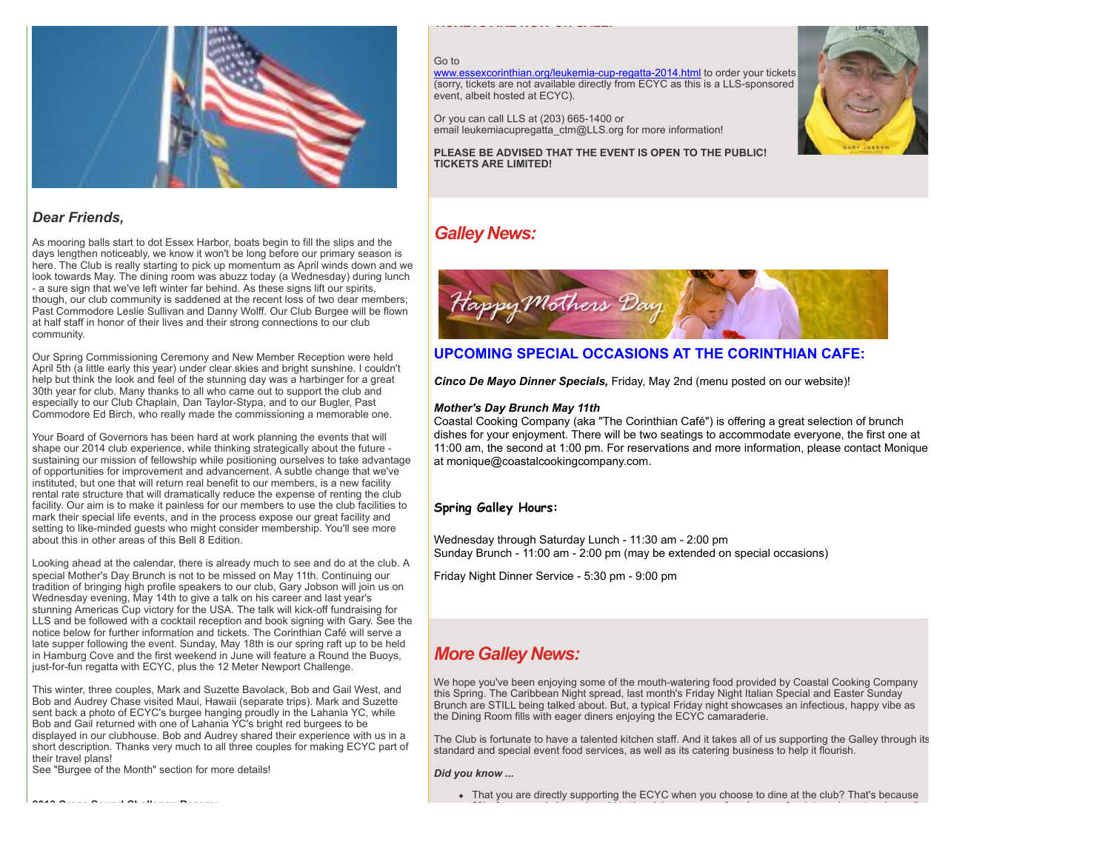

## *Dear Friends,*

As mooring balls start to dot Essex Harbor, boats begin to fill the slips and the days lengthen noticeably, we know it won't be long before our primary season is here. The Club is really starting to pick up momentum as April winds down and we look towards May. The dining room was abuzz today (a Wednesday) during lunch - a sure sign that we've left winter far behind. As these signs lift our spirits, though, our club community is saddened at the recent loss of two dear members; Past Commodore Leslie Sullivan and Danny Wolff. Our Club Burgee will be flown at half staff in honor of their lives and their strong connections to our club community.

Our Spring Commissioning Ceremony and New Member Reception were held April 5th (a little early this year) under clear skies and bright sunshine. I couldn't help but think the look and feel of the stunning day was a harbinger for a great 30th year for club. Many thanks to all who came out to support the club and especially to our Club Chaplain, Dan Taylor-Stypa, and to our Bugler, Past Commodore Ed Birch, who really made the commissioning a memorable one.

Your Board of Governors has been hard at work planning the events that will shape our 2014 club experience, while thinking strategically about the future sustaining our mission of fellowship while positioning ourselves to take advantage of opportunities for improvement and advancement. A subtle change that we've instituted, but one that will return real benefit to our members, is a new facility rental rate structure that will dramatically reduce the expense of renting the club facility. Our aim is to make it painless for our members to use the club facilities to mark their special life events, and in the process expose our great facility and setting to like-minded guests who might consider membership. You'll see more about this in other areas of this Bell 8 Edition.

Looking ahead at the calendar, there is already much to see and do at the club. A special Mother's Day Brunch is not to be missed on May 11th. Continuing our tradition of bringing high profile speakers to our club, Gary Jobson will join us on Wednesday evening, May 14th to give a talk on his career and last year's stunning Americas Cup victory for the USA. The talk will kick-off fundraising for LLS and be followed with a cocktail reception and book signing with Gary. See the notice below for further information and tickets. The Corinthian Café will serve a late supper following the event. Sunday, May 18th is our spring raft up to be held in Hamburg Cove and the first weekend in June will feature a Round the Buoys, just-for-fun regatta with ECYC, plus the 12 Meter Newport Challenge.

This winter, three couples, Mark and Suzette Bavolack, Bob and Gail West, and Bob and Audrey Chase visited Maui, Hawaii (separate trips). Mark and Suzette sent back a photo of ECYC's burgee hanging proudly in the Lahania YC, while Bob and Gail returned with one of Lahania YC's bright red burgees to be displayed in our clubhouse. Bob and Audrey shared their experience with us in a short description. Thanks very much to all three couples for making ECYC part of their travel plans!

See "Burgee of the Month" section for more details!

**2013 Cross Sound Challenge Racers:** 

#### Go to

[www.essexcorinthian.org/leukemia-cup-regatta-2014.html](http://r20.rs6.net/tn.jsp?e=001emzWmt_IhciFXI8C8einlwy10vlqjxsfyQ8tP2P4Hg2Nv1Y8vpGu5nY1f9ZN0_gee08PpT5w5YDgXzPFndBOO04QSZqPfIhP-TNbA_PpiT4NYZlo8QEyq62jutK__Ow6wnD_JmlbUeBgWSzFqZo1D0NJ6Lh2D9Eu) to order your tickets (sorry, tickets are not available directly from ECYC as this is a LLS-sponsored event, albeit hosted at ECYC).

Or you can call LLS at (203) 665-1400 or email leukemiacupregatta\_ctm@LLS.org for more information!

**TICKETS ARE NOW ON SALE!**

**PLEASE BE ADVISED THAT THE EVENT IS OPEN TO THE PUBLIC! TICKETS ARE LIMITED!**



# *Galley News:*



## **UPCOMING SPECIAL OCCASIONS AT THE CORINTHIAN CAFE:**

*Cinco De Mayo Dinner Specials,* Friday, May 2nd (menu posted on our website)!

### *Mother's Day Brunch May 11th*

Coastal Cooking Company (aka "The Corinthian Café") is offering a great selection of brunch dishes for your enjoyment. There will be two seatings to accommodate everyone, the first one at 11:00 am, the second at 1:00 pm. For reservations and more information, please contact Monique at monique@coastalcookingcompany.com.

## **Spring Galley Hours:**

Wednesday through Saturday Lunch - 11:30 am - 2:00 pm Sunday Brunch - 11:00 am - 2:00 pm (may be extended on special occasions)

Friday Night Dinner Service - 5:30 pm - 9:00 pm

# *More Galley News:*

We hope you've been enjoying some of the mouth-watering food provided by Coastal Cooking Company this Spring. The Caribbean Night spread, last month's Friday Night Italian Special and Easter Sunday Brunch are STILL being talked about. But, a typical Friday night showcases an infectious, happy vibe as the Dining Room fills with eager diners enjoying the ECYC camaraderie.

The Club is fortunate to have a talented kitchen staff. And it takes all of us supporting the Galley through its standard and special event food services, as well as its catering business to help it flourish.

*Did you know ...*

<sup>•</sup> That you are directly supporting the ECYC when you choose to dine at the club? That's because  $8.8\pm 0.00$  of the charge is paid to the club as a usage fee. A usage feed (at varying rates depending rates depending rates depending rates depending rates depending rates of  $\sim 0.00$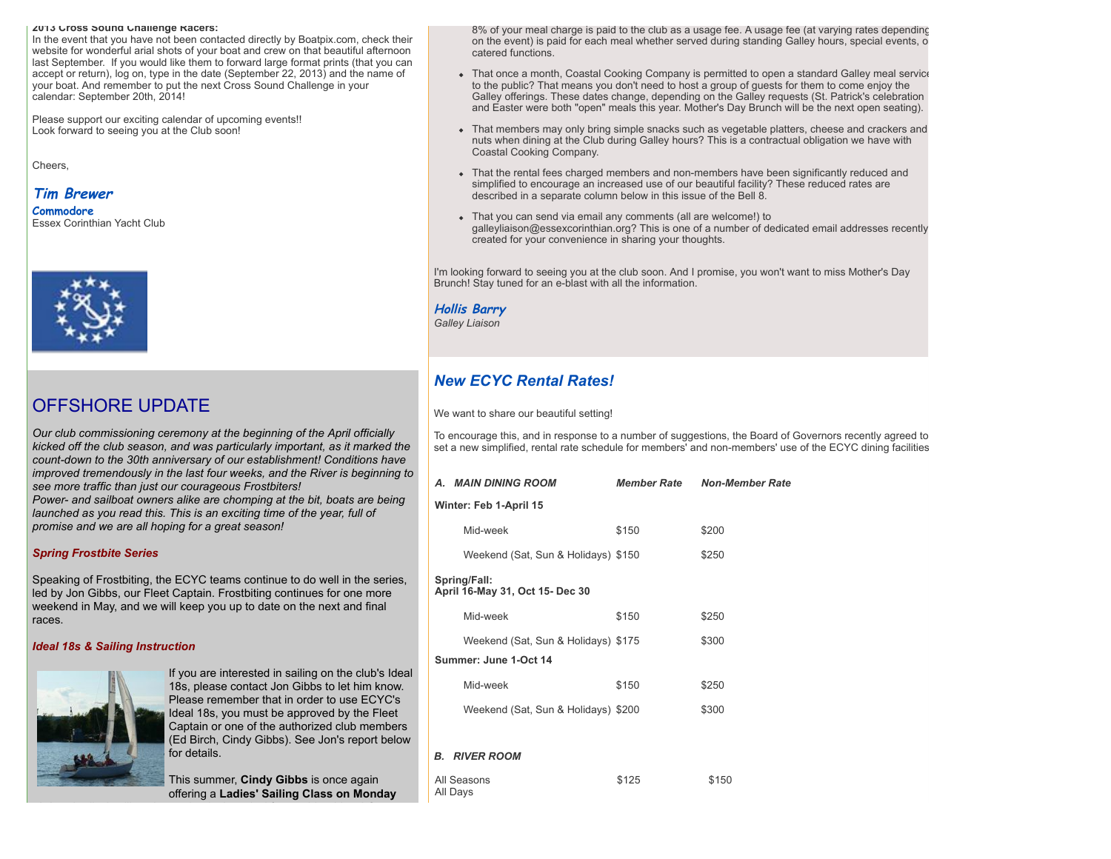#### **2013 Cross Sound Challenge Racers:**

In the event that you have not been contacted directly by Boatpix.com, check their website for wonderful arial shots of your boat and crew on that beautiful afternoon last September. If you would like them to forward large format prints (that you can accept or return), log on, type in the date (September 22, 2013) and the name of your boat. And remember to put the next Cross Sound Challenge in your calendar: September 20th, 2014!

Please support our exciting calendar of upcoming events!! Look forward to seeing you at the Club soon!

Cheers,

# **Tim Brewer**

**Commodore** Essex Corinthian Yacht Club



# OFFSHORE UPDATE

*Our club commissioning ceremony at the beginning of the April officially kicked off the club season, and was particularly important, as it marked the count-down to the 30th anniversary of our establishment! Conditions have improved tremendously in the last four weeks, and the River is beginning to see more traffic than just our courageous Frostbiters! Power- and sailboat owners alike are chomping at the bit, boats are being launched as you read this. This is an exciting time of the year, full of promise and we are all hoping for a great season!* 

#### *Spring Frostbite Series*

Speaking of Frostbiting, the ECYC teams continue to do well in the series, led by Jon Gibbs, our Fleet Captain. Frostbiting continues for one more weekend in May, and we will keep you up to date on the next and final races.

#### *Ideal 18s & Sailing Instruction*



If you are interested in sailing on the club's Ideal 18s, please contact Jon Gibbs to let him know. Please remember that in order to use ECYC's Ideal 18s, you must be approved by the Fleet Captain or one of the authorized club members (Ed Birch, Cindy Gibbs). See Jon's report below for details.

This summer, **Cindy Gibbs** is once again offering a **Ladies' Sailing Class on Monday** 8% of your meal charge is paid to the club as a usage fee. A usage fee (at varying rates depending on the event) is paid for each meal whether served during standing Galley hours, special events, or catered functions.

- That once a month, Coastal Cooking Company is permitted to open a standard Galley meal service to the public? That means you don't need to host a group of guests for them to come enjoy the Galley offerings. These dates change, depending on the Galley requests (St. Patrick's celebration and Easter were both "open" meals this year. Mother's Day Brunch will be the next open seating).
- That members may only bring simple snacks such as vegetable platters, cheese and crackers and nuts when dining at the Club during Galley hours? This is a contractual obligation we have with Coastal Cooking Company.
- That the rental fees charged members and non-members have been significantly reduced and simplified to encourage an increased use of our beautiful facility? These reduced rates are described in a separate column below in this issue of the Bell 8.
- That you can send via email any comments (all are welcome!) to galleyliaison@essexcorinthian.org? This is one of a number of dedicated email addresses recently created for your convenience in sharing your thoughts.

I'm looking forward to seeing you at the club soon. And I promise, you won't want to miss Mother's Day Brunch! Stay tuned for an e-blast with all the information.

### **Hollis Barry**

*Galley Liaison*

All Days

# *New ECYC Rental Rates!*

We want to share our beautiful setting!

To encourage this, and in response to a number of suggestions, the Board of Governors recently agreed to set a new simplified, rental rate schedule for members' and non-members' use of the ECYC dining facilities.

|                                                 | A. MAIN DINING ROOM                                          | Member Rate | <b>Non-Member Rate</b> |
|-------------------------------------------------|--------------------------------------------------------------|-------------|------------------------|
| Winter: Feb 1-April 15                          |                                                              |             |                        |
|                                                 | Mid-week                                                     | \$150       | \$200                  |
|                                                 | Weekend (Sat, Sun & Holidays) \$150                          |             | \$250                  |
| Spring/Fall:<br>April 16-May 31, Oct 15- Dec 30 |                                                              |             |                        |
|                                                 | Mid-week                                                     | \$150       | \$250                  |
|                                                 | Weekend (Sat, Sun & Holidays) \$175<br>Summer: June 1-Oct 14 |             | \$300                  |
|                                                 | Mid-week                                                     | \$150       | \$250                  |
|                                                 | Weekend (Sat, Sun & Holidays) \$200                          |             | \$300                  |
|                                                 |                                                              |             |                        |
|                                                 | <b>B. RIVER ROOM</b>                                         |             |                        |
| All Seasons                                     |                                                              | \$125       | \$150                  |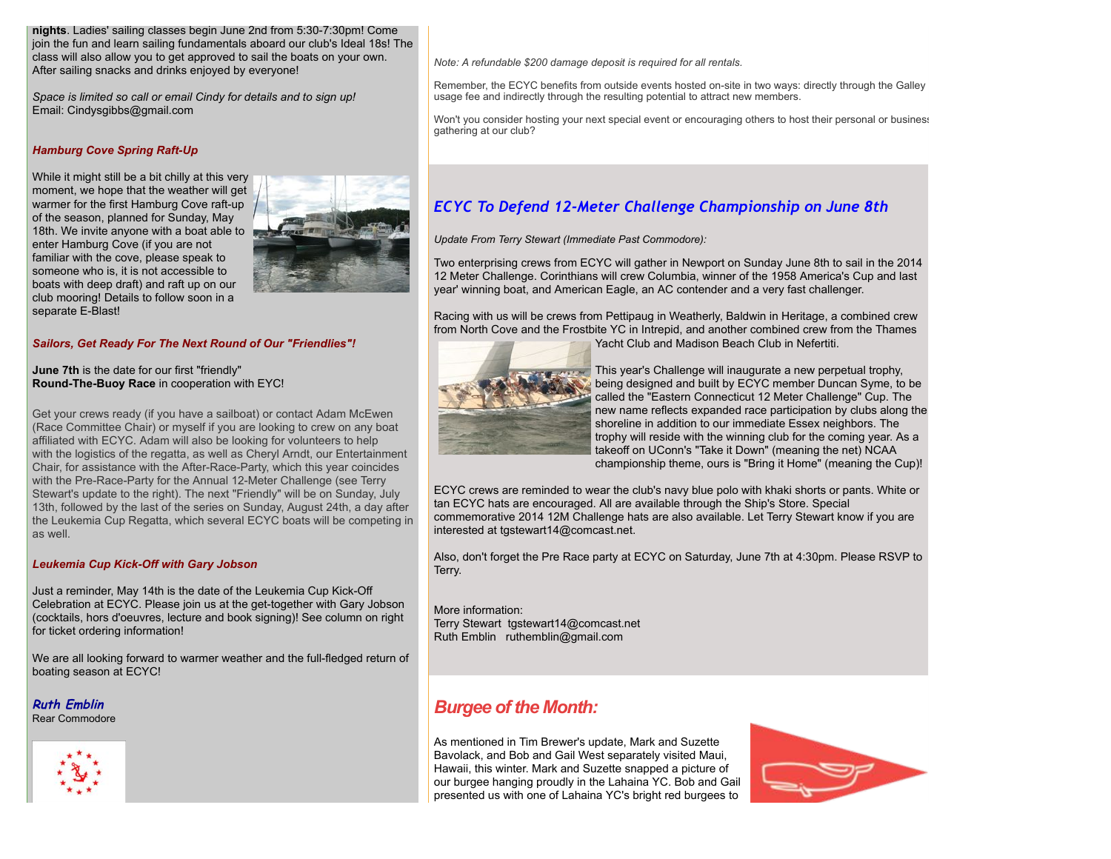**nights**. Ladies' sailing classes begin June 2nd from 5:30-7:30pm! Come join the fun and learn sailing fundamentals aboard our club's Ideal 18s! The class will also allow you to get approved to sail the boats on your own. After sailing snacks and drinks enjoyed by everyone!

*Space is limited so call or email Cindy for details and to sign up!* Email: Cindysgibbs@gmail.com

## *Hamburg Cove Spring Raft-Up*

While it might still be a bit chilly at this very moment, we hope that the weather will get warmer for the first Hamburg Cove raft-up of the season, planned for Sunday, May 18th. We invite anyone with a boat able to enter Hamburg Cove (if you are not familiar with the cove, please speak to someone who is, it is not accessible to boats with deep draft) and raft up on our club mooring! Details to follow soon in a separate E-Blast!



#### *Sailors, Get Ready For The Next Round of Our "Friendlies"!*

**June 7th** is the date for our first "friendly" **Round-The-Buoy Race** in cooperation with EYC!

Get your crews ready (if you have a sailboat) or contact Adam McEwen (Race Committee Chair) or myself if you are looking to crew on any boat affiliated with ECYC. Adam will also be looking for volunteers to help with the logistics of the regatta, as well as Cheryl Arndt, our Entertainment Chair, for assistance with the After-Race-Party, which this year coincides with the Pre-Race-Party for the Annual 12-Meter Challenge (see Terry Stewart's update to the right). The next "Friendly" will be on Sunday, July 13th, followed by the last of the series on Sunday, August 24th, a day after the Leukemia Cup Regatta, which several ECYC boats will be competing in as well.

#### *Leukemia Cup Kick-Off with Gary Jobson*

Just a reminder, May 14th is the date of the Leukemia Cup Kick-Off Celebration at ECYC. Please join us at the get-together with Gary Jobson (cocktails, hors d'oeuvres, lecture and book signing)! See column on right for ticket ordering information!

We are all looking forward to warmer weather and the full-fledged return of boating season at ECYC!

**Ruth Emblin**Rear Commodore



*Note: A refundable \$200 damage deposit is required for all rentals.*

Remember, the ECYC benefits from outside events hosted on-site in two ways: directly through the Galley usage fee and indirectly through the resulting potential to attract new members.

Won't you consider hosting your next special event or encouraging others to host their personal or business gathering at our club?

## *ECYC To Defend 12-Meter Challenge Championship on June 8th*

*Update From Terry Stewart (Immediate Past Commodore):*

Two enterprising crews from ECYC will gather in Newport on Sunday June 8th to sail in the 2014 12 Meter Challenge. Corinthians will crew Columbia, winner of the 1958 America's Cup and last year' winning boat, and American Eagle, an AC contender and a very fast challenger.

Racing with us will be crews from Pettipaug in Weatherly, Baldwin in Heritage, a combined crew from North Cove and the Frostbite YC in Intrepid, and another combined crew from the Thames Yacht Club and Madison Beach Club in Nefertiti.



This year's Challenge will inaugurate a new perpetual trophy, being designed and built by ECYC member Duncan Syme, to be called the "Eastern Connecticut 12 Meter Challenge" Cup. The new name reflects expanded race participation by clubs along the shoreline in addition to our immediate Essex neighbors. The trophy will reside with the winning club for the coming year. As a takeoff on UConn's "Take it Down" (meaning the net) NCAA championship theme, ours is "Bring it Home" (meaning the Cup)!

ECYC crews are reminded to wear the club's navy blue polo with khaki shorts or pants. White or tan ECYC hats are encouraged. All are available through the Ship's Store. Special commemorative 2014 12M Challenge hats are also available. Let Terry Stewart know if you are interested at tgstewart14@comcast.net.

Also, don't forget the Pre Race party at ECYC on Saturday, June 7th at 4:30pm. Please RSVP to Terry.

More information: Terry Stewart tgstewart14@comcast.net Ruth Emblin ruthemblin@gmail.com

# *Burgee of the Month:*

As mentioned in Tim Brewer's update, Mark and Suzette Bavolack, and Bob and Gail West separately visited Maui, Hawaii, this winter. Mark and Suzette snapped a picture of our burgee hanging proudly in the Lahaina YC. Bob and Gail presented us with one of Lahaina YC's bright red burgees to

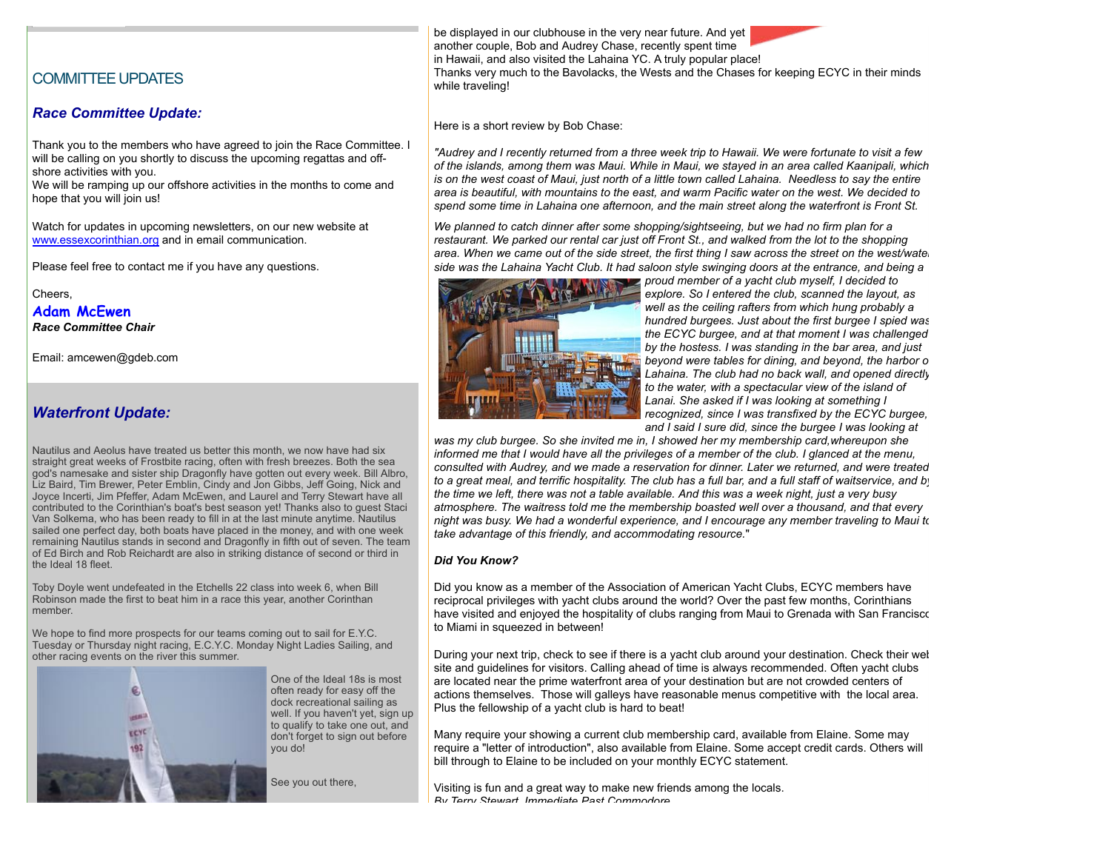## COMMITTEE UPDATES

#### *Race Committee Update:*

Thank you to the members who have agreed to join the Race Committee. I will be calling on you shortly to discuss the upcoming regattas and offshore activities with you.

We will be ramping up our offshore activities in the months to come and hope that you will join us!

Watch for updates in upcoming newsletters, on our new website at [www.essexcorinthian.org](http://r20.rs6.net/tn.jsp?e=001emzWmt_IhciFXI8C8einlwy10vlqjxsfyQ8tP2P4Hg2Nv1Y8vpGu5nY1f9ZN0_gee08PpT5w5YDgXzPFndBOO04QSZqPfIhP-TNbA_PpiT7SEtzDkkJwEA==) and in email communication.

Please feel free to contact me if you have any questions.

Cheers,

**Adam McEwen**

*Race Committee Chair*

Email: amcewen@gdeb.com

## *Waterfront Update:*

Nautilus and Aeolus have treated us better this month, we now have had six straight great weeks of Frostbite racing, often with fresh breezes. Both the sea god's namesake and sister ship Dragonfly have gotten out every week. Bill Albro, Liz Baird, Tim Brewer, Peter Emblin, Cindy and Jon Gibbs, Jeff Going, Nick and Joyce Incerti, Jim Pfeffer, Adam McEwen, and Laurel and Terry Stewart have all contributed to the Corinthian's boat's best season yet! Thanks also to guest Staci Van Solkema, who has been ready to fill in at the last minute anytime. Nautilus sailed one perfect day, both boats have placed in the money, and with one week remaining Nautilus stands in second and Dragonfly in fifth out of seven. The team of Ed Birch and Rob Reichardt are also in striking distance of second or third in the Ideal 18 fleet.

Toby Doyle went undefeated in the Etchells 22 class into week 6, when Bill Robinson made the first to beat him in a race this year, another Corinthan member.

We hope to find more prospects for our teams coming out to sail for E.Y.C. Tuesday or Thursday night racing, E.C.Y.C. Monday Night Ladies Sailing, and other racing events on the river this summer.



One of the Ideal 18s is most often ready for easy off the dock recreational sailing as well. If you haven't yet, sign up to qualify to take one out, and don't forget to sign out before you do!

See you out there,

be displayed in our clubhouse in the very near future. And yet another couple, Bob and Audrey Chase, recently spent time in Hawaii, and also visited the Lahaina YC. A truly popular place! Thanks very much to the Bavolacks, the Wests and the Chases for keeping ECYC in their minds while traveling!

Here is a short review by Bob Chase:

*"Audrey and I recently returned from a three week trip to Hawaii. We were fortunate to visit a few of the islands, among them was Maui. While in Maui, we stayed in an area called Kaanipali, which is on the west coast of Maui, just north of a little town called Lahaina. Needless to say the entire area is beautiful, with mountains to the east, and warm Pacific water on the west. We decided to spend some time in Lahaina one afternoon, and the main street along the waterfront is Front St.*

*We planned to catch dinner after some shopping/sightseeing, but we had no firm plan for a restaurant. We parked our rental car just off Front St., and walked from the lot to the shopping area. When we came out of the side street, the first thing I saw across the street on the west/wate. side was the Lahaina Yacht Club. It had saloon style swinging doors at the entrance, and being a*



*proud member of a yacht club myself, I decided to explore. So I entered the club, scanned the layout, as well as the ceiling rafters from which hung probably a hundred burgees. Just about the first burgee I spied was the ECYC burgee, and at that moment I was challenged by the hostess. I was standing in the bar area, and just beyond were tables for dining, and beyond, the harbor of Lahaina. The club had no back wall, and opened directly to the water, with a spectacular view of the island of Lanai. She asked if I was looking at something I recognized, since I was transfixed by the ECYC burgee, and I said I sure did, since the burgee I was looking at*

*was my club burgee. So she invited me in, I showed her my membership card,whereupon she informed me that I would have all the privileges of a member of the club. I glanced at the menu, consulted with Audrey, and we made a reservation for dinner. Later we returned, and were treated to a great meal, and terrific hospitality. The club has a full bar, and a full staff of waitservice, and by the time we left, there was not a table available. And this was a week night, just a very busy atmosphere. The waitress told me the membership boasted well over a thousand, and that every night was busy. We had a wonderful experience, and I encourage any member traveling to Maui to take advantage of this friendly, and accommodating resource.*"

#### *Did You Know?*

Did you know as a member of the Association of American Yacht Clubs, ECYC members have reciprocal privileges with yacht clubs around the world? Over the past few months, Corinthians have visited and enjoyed the hospitality of clubs ranging from Maui to Grenada with San Francisco to Miami in squeezed in between!

During your next trip, check to see if there is a yacht club around your destination. Check their web site and guidelines for visitors. Calling ahead of time is always recommended. Often yacht clubs are located near the prime waterfront area of your destination but are not crowded centers of actions themselves. Those will galleys have reasonable menus competitive with the local area. Plus the fellowship of a yacht club is hard to beat!

Many require your showing a current club membership card, available from Elaine. Some may require a "letter of introduction", also available from Elaine. Some accept credit cards. Others will bill through to Elaine to be included on your monthly ECYC statement.

Visiting is fun and a great way to make new friends among the locals. *By Terry Stewart, Immediate Past Commodore*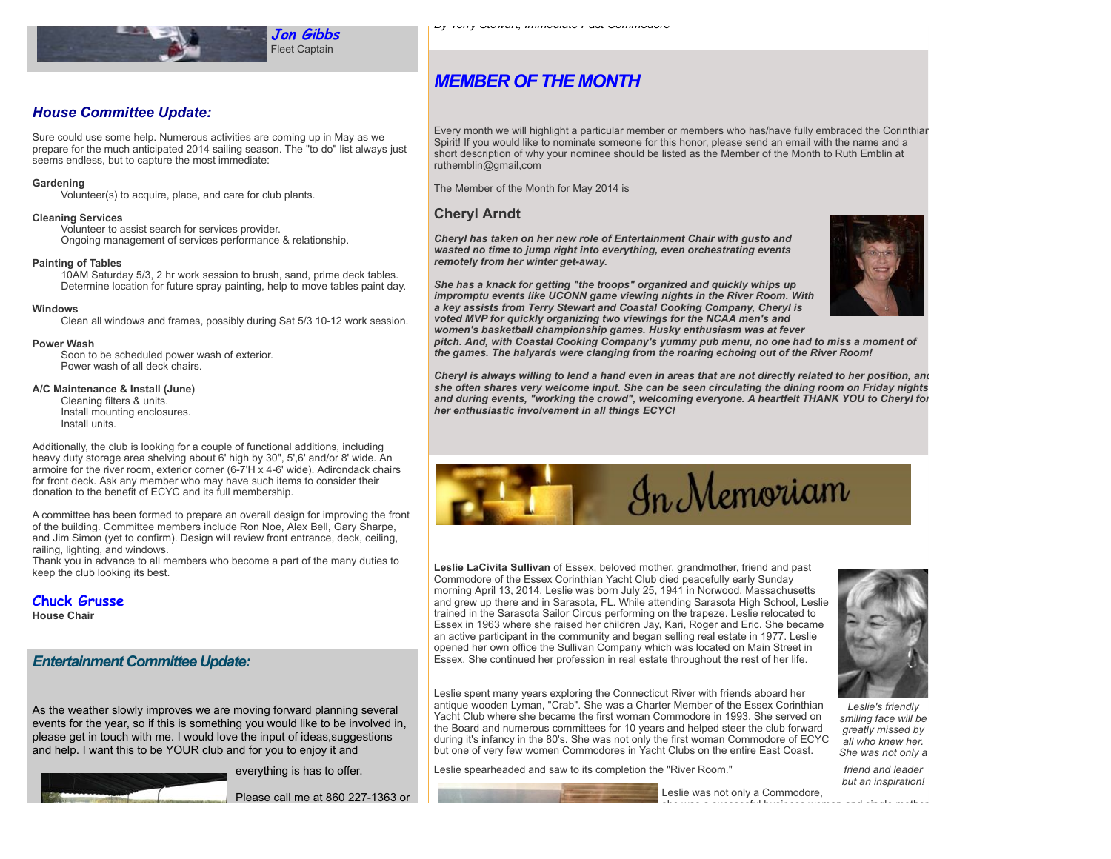

## *MEMBER OF THE MONTH*

## *House Committee Update:*

Sure could use some help. Numerous activities are coming up in May as we prepare for the much anticipated 2014 sailing season. The "to do" list always just seems endless, but to capture the most immediate:

#### **Gardening**

Volunteer(s) to acquire, place, and care for club plants.

#### **Cleaning Services**

Volunteer to assist search for services provider. Ongoing management of services performance & relationship.

#### **Painting of Tables**

10AM Saturday 5/3, 2 hr work session to brush, sand, prime deck tables. Determine location for future spray painting, help to move tables paint day.

#### **Windows**

Clean all windows and frames, possibly during Sat 5/3 10-12 work session.

#### **Power Wash**

Soon to be scheduled power wash of exterior. Power wash of all deck chairs.

#### **A/C Maintenance & Install (June)**

Cleaning filters & units. Install mounting enclosures. Install units.

Additionally, the club is looking for a couple of functional additions, including heavy duty storage area shelving about 6' high by 30", 5',6' and/or 8' wide. An armoire for the river room, exterior corner (6-7'H x 4-6' wide). Adirondack chairs for front deck. Ask any member who may have such items to consider their donation to the benefit of ECYC and its full membership.

A committee has been formed to prepare an overall design for improving the front of the building. Committee members include Ron Noe, Alex Bell, Gary Sharpe, and Jim Simon (yet to confirm). Design will review front entrance, deck, ceiling, railing, lighting, and windows.

Thank you in advance to all members who become a part of the many duties to keep the club looking its best.

#### **Chuck Grusse**

**House Chair**

## *Entertainment Committee Update:*

As the weather slowly improves we are moving forward planning several events for the year, so if this is something you would like to be involved in, please get in touch with me. I would love the input of ideas,suggestions and help. I want this to be YOUR club and for you to enjoy it and

everything is has to offer.

Please call me at 860 227-1363 or

Every month we will highlight a particular member or members who has/have fully embraced the Corinthian Spirit! If you would like to nominate someone for this honor, please send an email with the name and a short description of why your nominee should be listed as the Member of the Month to Ruth Emblin at ruthemblin@gmail,com

The Member of the Month for May 2014 is

#### **Cheryl Arndt**

*Cheryl has taken on her new role of Entertainment Chair with gusto and wasted no time to jump right into everything, even orchestrating events remotely from her winter get-away.* 



*She has a knack for getting "the troops" organized and quickly whips up impromptu events like UCONN game viewing nights in the River Room. With a key assists from Terry Stewart and Coastal Cooking Company, Cheryl is voted MVP for quickly organizing two viewings for the NCAA men's and women's basketball championship games. Husky enthusiasm was at fever*

*pitch. And, with Coastal Cooking Company's yummy pub menu, no one had to miss a moment of the games. The halyards were clanging from the roaring echoing out of the River Room!* 

*Cheryl is always willing to lend a hand even in areas that are not directly related to her position, and she often shares very welcome input. She can be seen circulating the dining room on Friday nights and during events, "working the crowd", welcoming everyone. A heartfelt THANK YOU to Cheryl for her enthusiastic involvement in all things ECYC!*



**Leslie LaCivita Sullivan** of Essex, beloved mother, grandmother, friend and past Commodore of the Essex Corinthian Yacht Club died peacefully early Sunday morning April 13, 2014. Leslie was born July 25, 1941 in Norwood, Massachusetts and grew up there and in Sarasota, FL. While attending Sarasota High School, Leslie trained in the Sarasota Sailor Circus performing on the trapeze. Leslie relocated to Essex in 1963 where she raised her children Jay, Kari, Roger and Eric. She became an active participant in the community and began selling real estate in 1977. Leslie opened her own office the Sullivan Company which was located on Main Street in Essex. She continued her profession in real estate throughout the rest of her life.

Leslie spent many years exploring the Connecticut River with friends aboard her antique wooden Lyman, "Crab". She was a Charter Member of the Essex Corinthian Yacht Club where she became the first woman Commodore in 1993. She served on the Board and numerous committees for 10 years and helped steer the club forward during it's infancy in the 80's. She was not only the first woman Commodore of ECYC but one of very few women Commodores in Yacht Clubs on the entire East Coast.

Leslie spearheaded and saw to its completion the "River Room."



Leslie was not only a Commodore, she was a successful business woman and single mother.



*Leslie's friendly smiling face will be greatly missed by all who knew her. She was not only a*

*friend and leader but an inspiration!*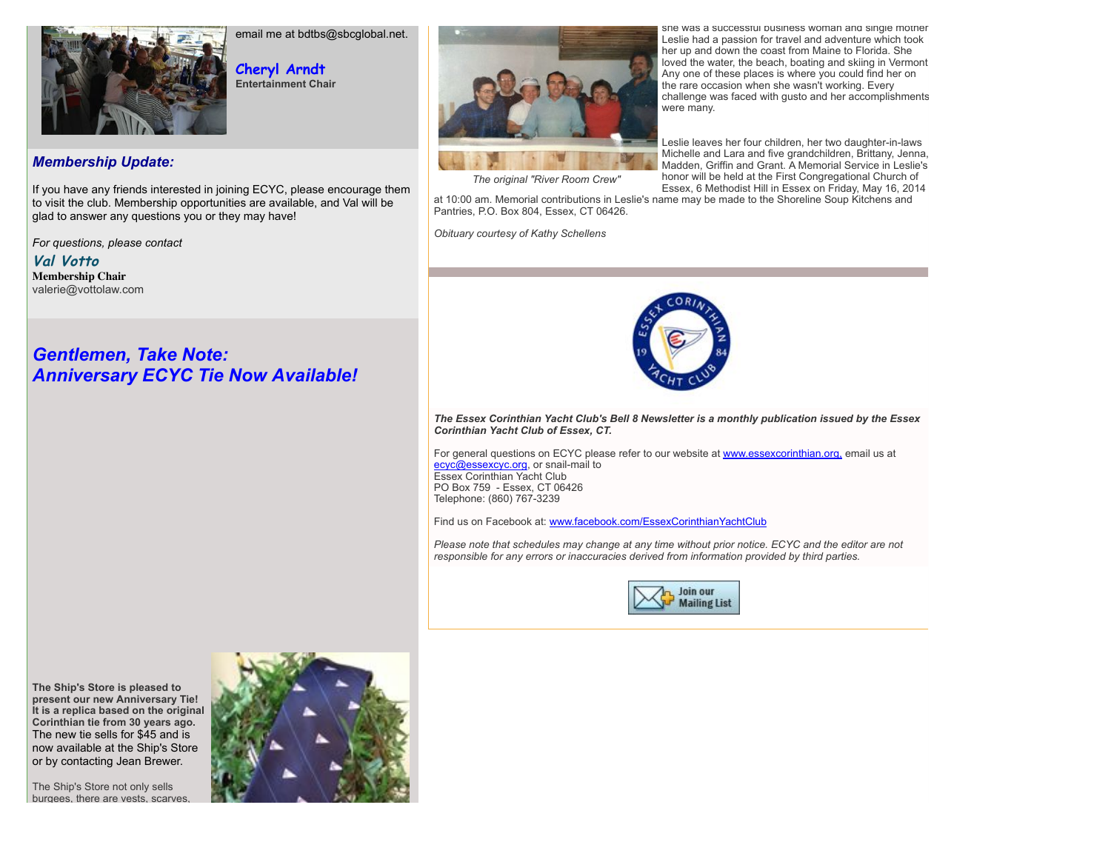

email me at bdtbs@sbcglobal.net.

**Cheryl Arndt Entertainment Chair**

## *Membership Update:*

If you have any friends interested in joining ECYC, please encourage them to visit the club. Membership opportunities are available, and Val will be glad to answer any questions you or they may have!

*For questions, please contact*

**Val Votto Membership Chair** valerie@vottolaw.com

# *Gentlemen, Take Note: Anniversary ECYC Tie Now Available!*



she was a successful business woman and single mother Leslie had a passion for travel and adventure which took her up and down the coast from Maine to Florida. She loved the water, the beach, boating and skiing in Vermont. Any one of these places is where you could find her on the rare occasion when she wasn't working. Every challenge was faced with gusto and her accomplishments were many.

Leslie leaves her four children, her two daughter-in-laws Michelle and Lara and five grandchildren, Brittany, Jenna, Madden, Griffin and Grant. A Memorial Service in Leslie's honor will be held at the First Congregational Church of Essex, 6 Methodist Hill in Essex on Friday, May 16, 2014

*The original "River Room Crew"*

at 10:00 am. Memorial contributions in Leslie's name may be made to the Shoreline Soup Kitchens and Pantries, P.O. Box 804, Essex, CT 06426.

*Obituary courtesy of Kathy Schellens*



*The Essex Corinthian Yacht Club's Bell 8 Newsletter is a monthly publication issued by the Essex Corinthian Yacht Club of Essex, CT.*

For general questions on ECYC please refer to our website at [www.essexcorinthian.org,](http://r20.rs6.net/tn.jsp?e=001emzWmt_IhciFXI8C8einlwy10vlqjxsfyQ8tP2P4Hg2Nv1Y8vpGu5nY1f9ZN0_gee08PpT5w5YDgXzPFndBOO04QSZqPfIhP-TNbA_PpiT7SEtzDkkJwEA==) email us at [ecyc@essexcyc.org](mailto:ecyc@essexcyc.org), or snail-mail to Essex Corinthian Yacht Club PO Box 759 - Essex, CT 06426 Telephone: (860) 767-3239

Find us on Facebook at: [www.facebook.com/EssexCorinthianYachtClub](http://r20.rs6.net/tn.jsp?e=001emzWmt_IhciFXI8C8einlwy10vlqjxsfyQ8tP2P4Hg2Nv1Y8vpGu5nY1f9ZN0_gee08PpT5w5YDS-xqoxSO2t8plXH4QTMciUaZq2F7nrCUOQ6p3FBoHoffYmnA8T05n3jnNZdHcNTM=)

*Please note that schedules may change at any time without prior notice. ECYC and the editor are not responsible for any errors or inaccuracies derived from information provided by third parties.*



**The Ship's Store is pleased to present our new Anniversary Tie! It is a replica based on the original Corinthian tie from 30 years ago.** The new tie sells for \$45 and is now available at the Ship's Store or by contacting Jean Brewer.

The Ship's Store not only sells burgees, there are vests, scarves,

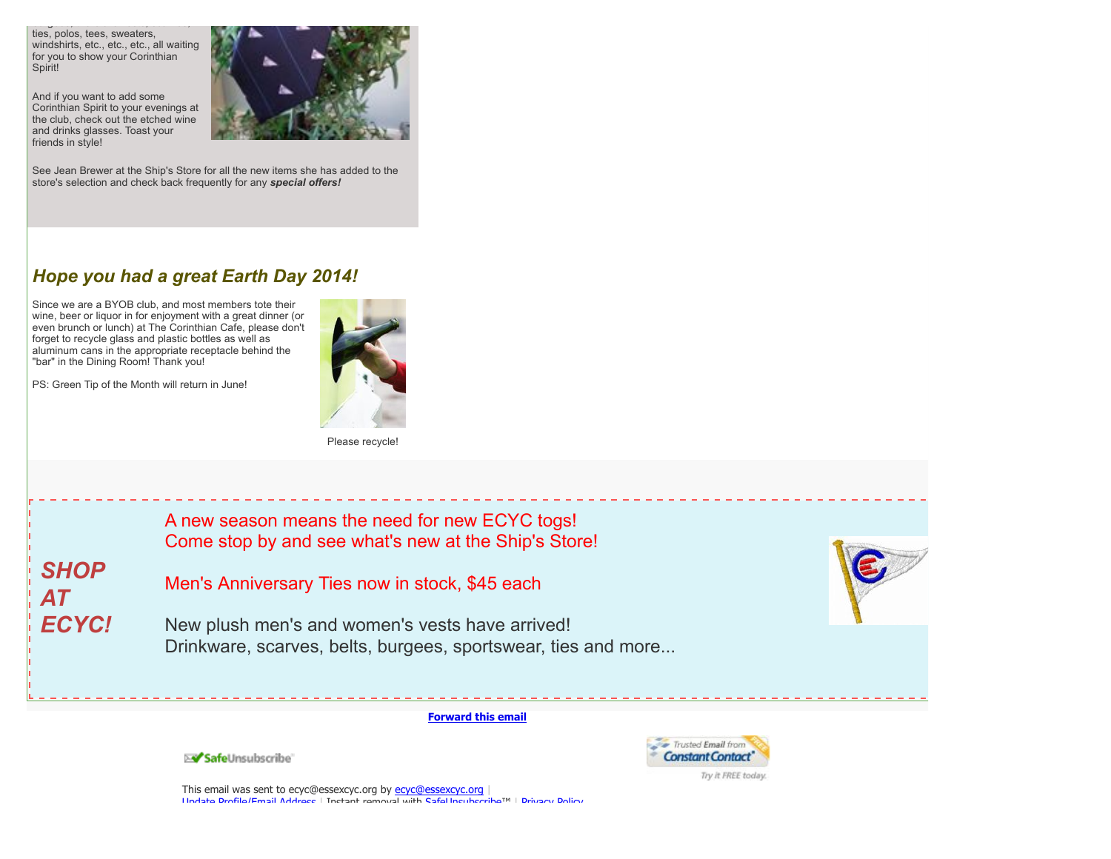burgees, there are vests, scarves, ties, polos, tees, sweaters, windshirts, etc., etc., etc., all waiting for you to show your Corinthian Spirit!

And if you want to add some Corinthian Spirit to your evenings at the club, check out the etched wine and drinks glasses. Toast your friends in style!



See Jean Brewer at the Ship's Store for all the new items she has added to the store's selection and check back frequently for any *special offers!*

# *Hope you had a great Earth Day 2014!*

Since we are a BYOB club, and most members tote their wine, beer or liquor in for enjoyment with a great dinner (or even brunch or lunch) at The Corinthian Cafe, please don't forget to recycle glass and plastic bottles as well as aluminum cans in the appropriate receptacle behind the "bar" in the Dining Room! Thank you!

PS: Green Tip of the Month will return in June!



*SHOP AT ECYC!* A new season means the need for new ECYC togs! Come stop by and see what's new at the Ship's Store! Men's Anniversary Ties now in stock, \$45 each New plush men's and women's vests have arrived! Drinkware, scarves, belts, burgees, sportswear, ties and more...

#### **[Forward this email](http://ui.constantcontact.com/sa/fwtf.jsp?llr=sxskahdab&m=1102968081138&ea=ecyc@essexcyc.org&a=1117218938219&id=preview)**



SafeUnsubscribe

This email was sent to [ecyc@essexcyc.org](mailto:ecyc@essexcyc.org) by ecyc@essexcyc.org [Update Profile/Email Address](http://visitor.constantcontact.com/do?p=oo&mse=001HTk7N6nZumIXBlK9dt_em0_XaqyKnn-avxE5bGzuJwZDdfXsvzzz3g%3D%3D&t=001eR6f6Qmr_AgF3y4nW5XNkA%3D%3D&l=001FCSs65SMrsI%3D&id=001b-xBWU3VMkeuB11ohlrQ8Ff28NY12zc0&llr=sxskahdab) | Instant removal with [SafeUnsubscribe](http://visitor.constantcontact.com/do?p=un&mse=001HTk7N6nZumIXBlK9dt_em0_XaqyKnn-avxE5bGzuJwZDdfXsvzzz3g%3D%3D&t=001eR6f6Qmr_AgF3y4nW5XNkA%3D%3D&l=001FCSs65SMrsI%3D&id=001b-xBWU3VMkeuB11ohlrQ8Ff28NY12zc0&llr=sxskahdab)™ | [Privacy Policy](https://ui.constantcontact.com/roving/CCPrivacyPolicy.jsp?id=preview).